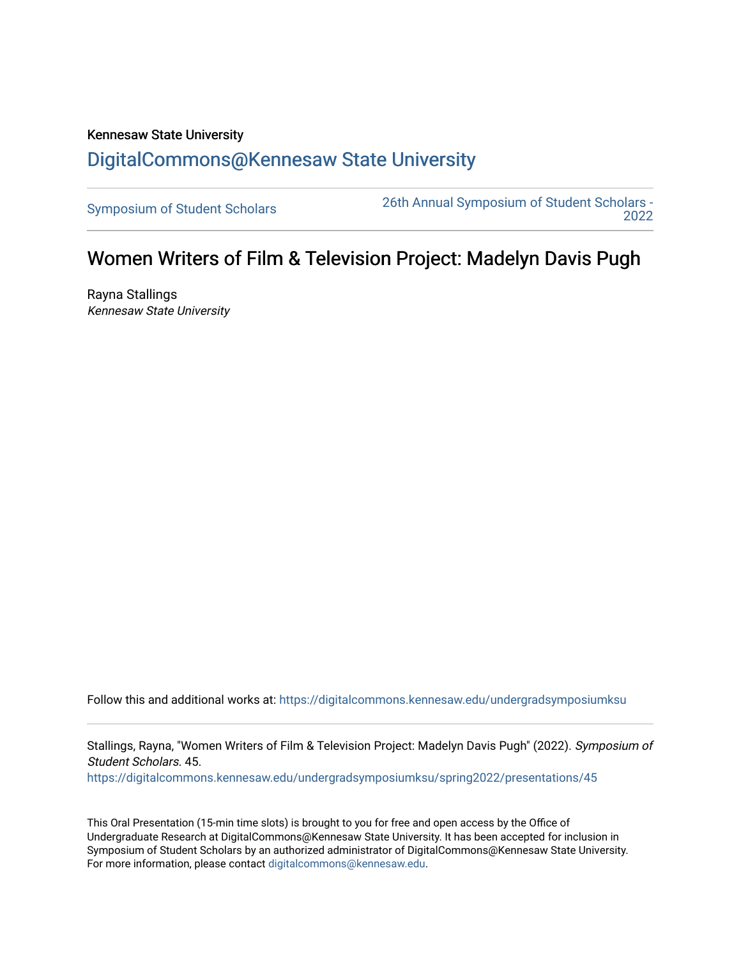## Kennesaw State University [DigitalCommons@Kennesaw State University](https://digitalcommons.kennesaw.edu/)

[Symposium of Student Scholars](https://digitalcommons.kennesaw.edu/undergradsymposiumksu) [26th Annual Symposium of Student Scholars -](https://digitalcommons.kennesaw.edu/undergradsymposiumksu/spring2022)  [2022](https://digitalcommons.kennesaw.edu/undergradsymposiumksu/spring2022) 

## Women Writers of Film & Television Project: Madelyn Davis Pugh

Rayna Stallings Kennesaw State University

Follow this and additional works at: [https://digitalcommons.kennesaw.edu/undergradsymposiumksu](https://digitalcommons.kennesaw.edu/undergradsymposiumksu?utm_source=digitalcommons.kennesaw.edu%2Fundergradsymposiumksu%2Fspring2022%2Fpresentations%2F45&utm_medium=PDF&utm_campaign=PDFCoverPages) 

Stallings, Rayna, "Women Writers of Film & Television Project: Madelyn Davis Pugh" (2022). Symposium of Student Scholars. 45.

[https://digitalcommons.kennesaw.edu/undergradsymposiumksu/spring2022/presentations/45](https://digitalcommons.kennesaw.edu/undergradsymposiumksu/spring2022/presentations/45?utm_source=digitalcommons.kennesaw.edu%2Fundergradsymposiumksu%2Fspring2022%2Fpresentations%2F45&utm_medium=PDF&utm_campaign=PDFCoverPages) 

This Oral Presentation (15-min time slots) is brought to you for free and open access by the Office of Undergraduate Research at DigitalCommons@Kennesaw State University. It has been accepted for inclusion in Symposium of Student Scholars by an authorized administrator of DigitalCommons@Kennesaw State University. For more information, please contact [digitalcommons@kennesaw.edu.](mailto:digitalcommons@kennesaw.edu)